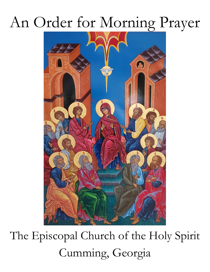# An Order for Morning Prayer



The Episcopal Church of the Holy Spirit Cumming, Georgia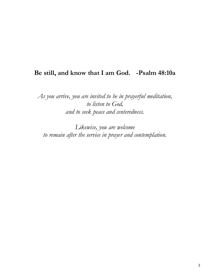# **Be still, and know that I am God. -Psalm 48:10a**

*As you arrive, you are invited to be in prayerful meditation, to listen to God, and to seek peace and centeredness.*

*Likewise, you are welcome to remain after the service in prayer and contemplation.*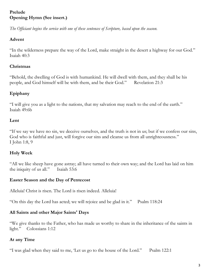### **Prelude Opening Hymn (See insert.)**

*The Officiant begins the service with one of these sentences of Scripture, based upon the season.*

### **Advent**

"In the wilderness prepare the way of the Lord, make straight in the desert a highway for our God." Isaiah 40:3

### **Christmas**

"Behold, the dwelling of God is with humankind. He will dwell with them, and they shall be his people, and God himself will be with them, and be their God." Revelation 21:3

### **Epiphany**

"I will give you as a light to the nations, that my salvation may reach to the end of the earth." Isaiah 49:6b

### **Lent**

"If we say we have no sin, we deceive ourselves, and the truth is not in us; but if we confess our sins, God who is faithful and just, will forgive our sins and cleanse us from all unrighteousness." I John 1:8, 9

### **Holy Week**

"All we like sheep have gone astray; all have turned to their own way; and the Lord has laid on him the iniquity of us all." Isaiah 53:6

### **Easter Season and the Day of Pentecost**

Alleluia! Christ is risen. The Lord is risen indeed. Alleluia!

"On this day the Lord has acted; we will rejoice and be glad in it." Psalm 118:24

### **All Saints and other Major Saints' Days**

"We give thanks to the Father, who has made us worthy to share in the inheritance of the saints in light." Colossians 1:12

### **At any Time**

"I was glad when they said to me, 'Let us go to the house of the Lord." Psalm 122:1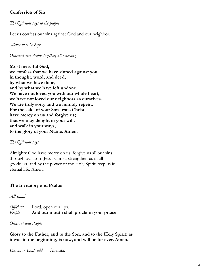### **Confession of Sin**

*The Officiant says to the people*

Let us confess our sins against God and our neighbor.

*Silence may be kept.*

*Officiant and People together, all kneeling*

**Most merciful God, we confess that we have sinned against you in thought, word, and deed, by what we have done, and by what we have left undone. We have not loved you with our whole heart; we have not loved our neighbors as ourselves. We are truly sorry and we humbly repent. For the sake of your Son Jesus Christ, have mercy on us and forgive us; that we may delight in your will, and walk in your ways, to the glory of your Name. Amen.**

*The Officiant says*

Almighty God have mercy on us, forgive us all our sins through our Lord Jesus Christ, strengthen us in all goodness, and by the power of the Holy Spirit keep us in eternal life. Amen.

### **The Invitatory and Psalter**

*All stand*

*Officiant* Lord, open our lips. *People* **And our mouth shall proclaim your praise.**

*Officiant and People*

**Glory to the Father, and to the Son, and to the Holy Spirit: as it was in the beginning, is now, and will be for ever. Amen.**

*Except in Lent, add* Alleluia.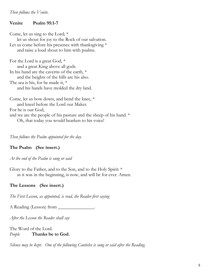*Then follows the Venite.*

### **Venite Psalm 95:1-7**

Come, let us sing to the Lord; \* let us shout for joy to the Rock of our salvation. Let us come before his presence with thanksgiving  $*$ and raise a loud shout to him with psalms.

For the Lord is a great God, \* and a great King above all gods. In his hand are the caverns of the earth, \* and the heights of the hills are his also. The sea is his, for he made it, \* and his hands have molded the dry land.

Come, let us bow down, and bend the knee, \* and kneel before the Lord our Maker. For he is our God, and we are the people of his pasture and the sheep of his hand. \* Oh, that today you would hearken to his voice!

*Then follows the Psalm appointed for the day.*

### **The Psalm (See insert.)**

*At the end of the Psalm is sung or said*

Glory to the Father, and to the Son, and to the Holy Spirit: \* as it was in the beginning, is now, and will be for ever. Amen.

### **The Lessons (See insert.)**

*The First Lesson, as appointed, is read, the Reader first saying*

A Reading (Lesson) from \_\_\_\_\_\_\_\_\_\_\_\_\_\_\_.

*After the Lesson the Reader shall say*

The Word of the Lord. *People* **Thanks be to God.**

*Silence may be kept. One of the following Canticles is sung or said after the Reading.*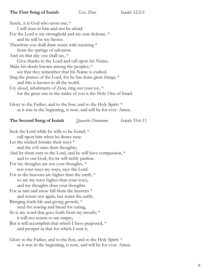Surely, it is God who saves me; \* I will trust in him and not be afraid. For the Lord is my stronghold and my sure defense, \* and he will be my Savior. Therefore you shall draw water with rejoicing  $*$  from the springs of salvation. And on that day you shall say, \* Give thanks to the Lord and call upon his Name; Make his deeds known among the peoples; \* see that they remember that his Name is exalted. Sing the praises of the Lord, for he has done great things, \* and this is known in all the world. Cry aloud, inhabitants of Zion, ring out your joy, \* for the great one in the midst of you is the Holy One of Israel. Glory to the Father, and to the Son, and to the Holy Spirit: \*

as it was in the beginning, is now, and will be for ever. Amen.

| The Second Song of Isaiah | Quaerite Dominum | Isaiah 55:6-11 |
|---------------------------|------------------|----------------|
|                           |                  |                |

Seek the Lord while he wills to be found; \* call upon him when he draws near. Let the wicked forsake their ways  $*$  and the evil ones their thoughts; And let them turn to the Lord, and he will have compassion, \* and to our God, for he will richly pardon. For my thoughts are not your thoughts, \* nor your ways my ways, says the Lord. For as the heavens are higher than the earth, \* so are my ways higher than your ways, and my thoughts than your thoughts. For as rain and snow fall from the heavens \* and return not again, but water the earth, Bringing forth life and giving growth, \* seed for sowing and bread for eating, So is my word that goes forth from my mouth; \* it will not return to me empty; But it will accomplish that which I have purposed, \* and prosper in that for which I sent it.

Glory to the Father, and to the Son, and to the Holy Spirit: \* as it was in the beginning, is now, and will be for ever. Amen.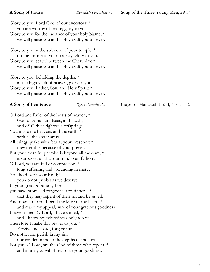| Glory to you, Lord God of our ancestors; $*$                                                                                                                                                |                                       |
|---------------------------------------------------------------------------------------------------------------------------------------------------------------------------------------------|---------------------------------------|
| you are worthy of praise; glory to you.<br>Glory to you for the radiance of your holy Name; *<br>we will praise you and highly exalt you for ever.                                          |                                       |
| Glory to you in the splendor of your temple; $*$<br>on the throne of your majesty, glory to you.                                                                                            |                                       |
| Glory to you, seated between the Cherubim; $*$<br>we will praise you and highly exalt you for ever.                                                                                         |                                       |
| Glory to you, beholding the depths; $*$<br>in the high vault of heaven, glory to you.<br>Glory to you, Father, Son, and Holy Spirit; *<br>we will praise you and highly exalt you for ever. |                                       |
| A Song of Penitence<br>Kyrie Pantokrator                                                                                                                                                    | Prayer of Manasseh 1-2, 4, 6-7, 11-15 |
| O Lord and Ruler of the hosts of heaven, *<br>God of Abraham, Isaac, and Jacob,<br>and of all their righteous offspring:                                                                    |                                       |
| You made the heavens and the earth, *<br>with all their vast array.                                                                                                                         |                                       |
| All things quake with fear at your presence; *<br>they tremble because of your power.                                                                                                       |                                       |
| But your merciful promise is beyond all measure; *<br>it surpasses all that our minds can fathom.                                                                                           |                                       |
| O Lord, you are full of compassion, *                                                                                                                                                       |                                       |
| long-suffering, and abounding in mercy.<br>You hold back your hand; *                                                                                                                       |                                       |
| you do not punish as we deserve.                                                                                                                                                            |                                       |
| In your great goodness, Lord,                                                                                                                                                               |                                       |
| you have promised forgiveness to sinners, *                                                                                                                                                 |                                       |
| that they may repent of their sin and be saved.<br>And now, O Lord, I bend the knee of my heart, *                                                                                          |                                       |
| and make my appeal, sure of your gracious goodness.                                                                                                                                         |                                       |
| I have sinned, O Lord, I have sinned, *                                                                                                                                                     |                                       |
| and I know my wickedness only too well.                                                                                                                                                     |                                       |
| Therefore I make this prayer to you: $*$                                                                                                                                                    |                                       |
| Forgive me, Lord, forgive me.                                                                                                                                                               |                                       |
| Do not let me perish in my sin, $*$                                                                                                                                                         |                                       |
| nor condemn me to the depths of the earth.                                                                                                                                                  |                                       |
| For you, O Lord, are the God of those who repent, *                                                                                                                                         |                                       |
| and in me you will show forth your goodness.                                                                                                                                                |                                       |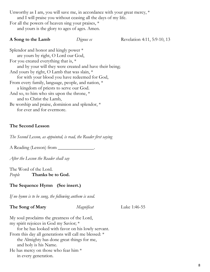Unworthy as I am, you will save me, in accordance with your great mercy,  $*$  and I will praise you without ceasing all the days of my life. For all the powers of heaven sing your praises, \* and yours is the glory to ages of ages. Amen.

**A Song to the Lamb** *Dignus es* Revelation 4:11, 5:9-10, 13

Splendor and honor and kingly power \* are yours by right, O Lord our God, For you created everything that is, \* and by your will they were created and have their being; And yours by right, O Lamb that was slain, \* for with your blood you have redeemed for God, From every family, language, people, and nation, \* a kingdom of priests to serve our God. And so, to him who sits upon the throne, \* and to Christ the Lamb, Be worship and praise, dominion and splendor, \* for ever and for evermore.

### **The Second Lesson**

*The Second Lesson, as appointed, is read, the Reader first saying*

A Reading (Lesson) from \_\_\_\_\_\_\_\_\_\_\_\_\_\_\_.

*After the Lesson the Reader shall say*

The Word of the Lord. *People* **Thanks be to God.**

### **The Sequence Hymn (See insert.)**

*If no hymn is to be sung, the following anthem is used.*

### **The Song of Mary** *Magnificat* Luke 1:46-55

My soul proclaims the greatness of the Lord, my spirit rejoices in God my Savior; \* for he has looked with favor on his lowly servant. From this day all generations will call me blessed: \* the Almighty has done great things for me, and holy is his Name. He has mercy on those who fear him  $*$ in every generation.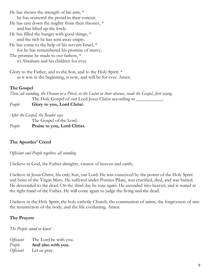| He has shown the strength of his arm, $*$           |
|-----------------------------------------------------|
| he has scattered the proud in their conceit.        |
| He has cast down the mighty from their thrones, $*$ |
| and has lifted up the lowly.                        |
| He has filled the hungry with good things, $*$      |
| and the rich he has sent away empty.                |
| He has come to the help of his servant Israel, *    |
| for he has remembered his promise of mercy,         |
| The promise he made to our fathers, $*$             |
| to Abraham and his children for ever.               |
|                                                     |
|                                                     |

Glory to the Father, and to the Son, and to the Holy Spirit: \* as it was in the beginning, is now, and will be for ever. Amen.

### **The Gospel**

*Then, all standing, the Deacon or a Priest, or the Lector in their absence, reads the Gospel, first saying* The Holy Gospel of our Lord Jesus Christ according to \_\_\_\_\_\_\_\_\_\_\_\_\_\_\_\_\_\_\_\_\_\_\_\_\_\_\_ *People* **Glory to you, Lord Christ.**

*After the Gospel, the Reader says* The Gospel of the Lord. *People* **Praise to you, Lord Christ.**

### **The Apostles' Creed**

*Officiant and People together, all standing*

I believe in God, the Father almighty, creator of heaven and earth;

I believe in Jesus Christ, his only Son, our Lord. He was conceived by the power of the Holy Spirit and born of the Virgin Mary. He suffered under Pontius Pilate, was crucified, died, and was buried. He descended to the dead. On the third day he rose again. He ascended into heaven, and is seated at the right hand of the Father. He will come again to judge the living and the dead.

I believe in the Holy Spirit, the holy catholic Church, the communion of saints, the forgiveness of sins the resurrection of the body, and the life everlasting. Amen.

### **The Prayers**

*The People stand or kneel*

*Officiant* The Lord be with you. *People* **And also with you.** *Officiant* Let us pray.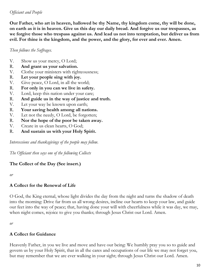**Our Father, who art in heaven, hallowed be thy Name, thy kingdom come, thy will be done, on earth as it is in heaven. Give us this day our daily bread. And forgive us our trespasses, as we forgive those who trespass against us. And lead us not into temptation, but deliver us from evil. For thine is the kingdom, and the power, and the glory, for ever and ever. Amen.**

*Then follows the Suffrages.*

- V. Show us your mercy, O Lord;
- R. **And grant us your salvation.**
- V. Clothe your ministers with righteousness;
- R. **Let your people sing with joy.**
- V. Give peace, O Lord, in all the world;
- R. **For only in you can we live in safety.**
- V. Lord, keep this nation under your care;
- R. **And guide us in the way of justice and truth.**
- V. Let your way be known upon earth;
- R. **Your saving health among all nations.**
- V. Let not the needy, O Lord, be forgotten;
- R. **Nor the hope of the poor be taken away.**
- V. Create in us clean hearts, O God;
- R. **And sustain us with your Holy Spirit.**

*Intercessions and thanksgivings of the people may follow.*

*The Officiant then says one of the following Collects*

### **The Collect of the Day (See insert.)**

*or*

### **A Collect for the Renewal of Life**

O God, the King eternal, whose light divides the day from the night and turns the shadow of death into the morning: Drive far from us all wrong desires, incline our hearts to keep your law, and guide our feet into the way of peace; that, having done your will with cheerfulness while it was day, we may, when night comes, rejoice to give you thanks; through Jesus Christ our Lord. Amen.

*or*

## **A Collect for Guidance**

Heavenly Father, in you we live and move and have our being: We humbly pray you so to guide and govern us by your Holy Spirit, that in all the cares and occupations of our life we may not forget you, but may remember that we are ever walking in your sight; through Jesus Christ our Lord. Amen.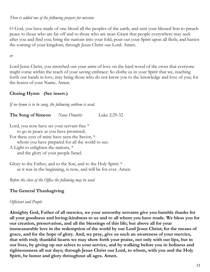*Then is added one of the following prayers for mission*

O God, you have made of one blood all the peoples of the earth, and sent your blessed Son to preach peace to those who are far off and to those who are near: Grant that people everywhere may seek after you and find you; bring the nations into your fold; pour out your Spirit upon all flesh; and hasten the coming of your kingdom; through Jesus Christ our Lord. Amen.

*or*

Lord Jesus Christ, you stretched out your arms of love on the hard wood of the cross that everyone might come within the reach of your saving embrace: So clothe us in your Spirit that we, reaching forth our hands in love, may bring those who do not know you to the knowledge and love of you; for the honor of your Name. Amen.

### **Closing Hymn (See insert.)**

*If no hymn is to be sung, the following anthem is used.*

**The Song of Simeon** *Nunc Dimittis* Luke 2:29-32

Lord, you now have set your servant free \* to go in peace as you have promised; For these eyes of mine have seen the Savior, \* whom you have prepared for all the world to see: A Light to enlighten the nations, \* and the glory of your people Israel.

Glory to the Father, and to the Son, and to the Holy Spirit: \* as it was in the beginning, is now, and will be for ever. Amen.

*Before the close of the Office the following may be used*

### **The General Thanksgiving**

### *Officiant and People*

**Almighty God, Father of all mercies, we your unworthy servants give you humble thanks for all your goodness and loving-kindness to us and to all whom you have made. We bless you for our creation, preservation, and all the blessings of this life; but above all for your immeasurable love in the redemption of the world by our Lord Jesus Christ; for the means of grace, and for the hope of glory. And, we pray, give us such an awareness of your mercies, that with truly thankful hearts we may show forth your praise, not only with our lips, but in our lives, by giving up our selves to your service, and by walking before you in holiness and righteousness all our days; through Jesus Christ our Lord, to whom, with you and the Holy Spirit, be honor and glory throughout all ages. Amen.**